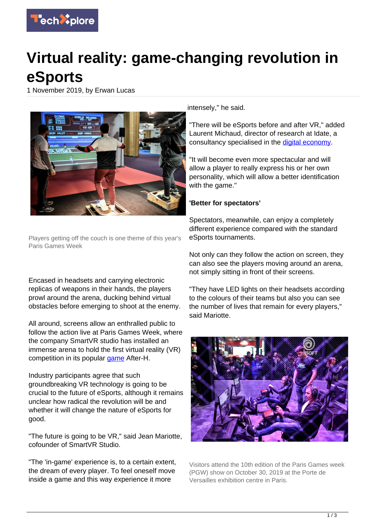

## **Virtual reality: game-changing revolution in eSports**

1 November 2019, by Erwan Lucas



Players getting off the couch is one theme of this year's Paris Games Week

Encased in headsets and carrying electronic replicas of weapons in their hands, the players prowl around the arena, ducking behind virtual obstacles before emerging to shoot at the enemy.

All around, screens allow an enthralled public to follow the action live at Paris Games Week, where the company SmartVR studio has installed an immense arena to hold the first virtual reality (VR) competition in its popular [game](https://techxplore.com/tags/game/) After-H.

Industry participants agree that such groundbreaking VR technology is going to be crucial to the future of eSports, although it remains unclear how radical the revolution will be and whether it will change the nature of eSports for good.

"The future is going to be VR," said Jean Mariotte, cofounder of SmartVR Studio.

"The 'in-game' experience is, to a certain extent, the dream of every player. To feel oneself move inside a game and this way experience it more

intensely," he said.

"There will be eSports before and after VR," added Laurent Michaud, director of research at Idate, a consultancy specialised in the [digital economy](https://techxplore.com/tags/digital+economy/).

"It will become even more spectacular and will allow a player to really express his or her own personality, which will allow a better identification with the game."

## **'Better for spectators'**

Spectators, meanwhile, can enjoy a completely different experience compared with the standard eSports tournaments.

Not only can they follow the action on screen, they can also see the players moving around an arena, not simply sitting in front of their screens.

"They have LED lights on their headsets according to the colours of their teams but also you can see the number of lives that remain for every players," said Mariotte.



Visitors attend the 10th edition of the Paris Games week (PGW) show on October 30, 2019 at the Porte de Versailles exhibition centre in Paris.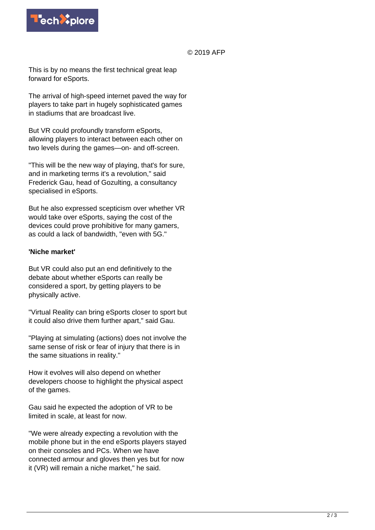

## © 2019 AFP

This is by no means the first technical great leap forward for eSports.

The arrival of high-speed internet paved the way for players to take part in hugely sophisticated games in stadiums that are broadcast live.

But VR could profoundly transform eSports, allowing players to interact between each other on two levels during the games—on- and off-screen.

"This will be the new way of playing, that's for sure, and in marketing terms it's a revolution," said Frederick Gau, head of Gozulting, a consultancy specialised in eSports.

But he also expressed scepticism over whether VR would take over eSports, saying the cost of the devices could prove prohibitive for many gamers, as could a lack of bandwidth, "even with 5G."

## **'Niche market'**

But VR could also put an end definitively to the debate about whether eSports can really be considered a sport, by getting players to be physically active.

"Virtual Reality can bring eSports closer to sport but it could also drive them further apart," said Gau.

"Playing at simulating (actions) does not involve the same sense of risk or fear of injury that there is in the same situations in reality."

How it evolves will also depend on whether developers choose to highlight the physical aspect of the games.

Gau said he expected the adoption of VR to be limited in scale, at least for now.

"We were already expecting a revolution with the mobile phone but in the end eSports players stayed on their consoles and PCs. When we have connected armour and gloves then yes but for now it (VR) will remain a niche market," he said.